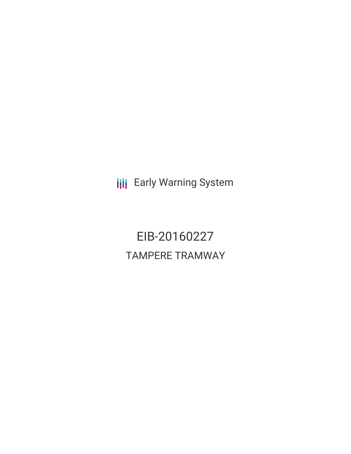**III** Early Warning System

EIB-20160227 TAMPERE TRAMWAY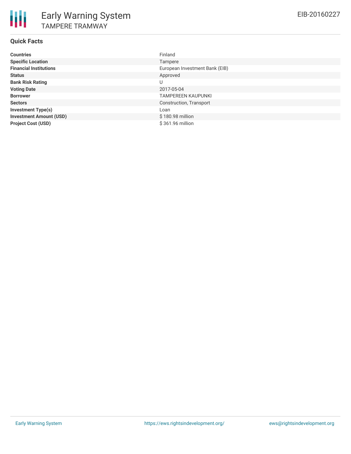# **Quick Facts**

| <b>Countries</b>               | Finland                        |
|--------------------------------|--------------------------------|
| <b>Specific Location</b>       | Tampere                        |
| <b>Financial Institutions</b>  | European Investment Bank (EIB) |
| <b>Status</b>                  | Approved                       |
| <b>Bank Risk Rating</b>        | U                              |
| <b>Voting Date</b>             | 2017-05-04                     |
| <b>Borrower</b>                | <b>TAMPEREEN KAUPUNKI</b>      |
| <b>Sectors</b>                 | Construction, Transport        |
| <b>Investment Type(s)</b>      | Loan                           |
| <b>Investment Amount (USD)</b> | \$180.98 million               |
| <b>Project Cost (USD)</b>      | \$361.96 million               |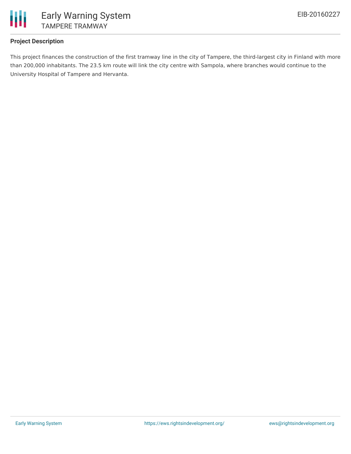

## **Project Description**

This project finances the construction of the first tramway line in the city of Tampere, the third-largest city in Finland with more than 200,000 inhabitants. The 23.5 km route will link the city centre with Sampola, where branches would continue to the University Hospital of Tampere and Hervanta.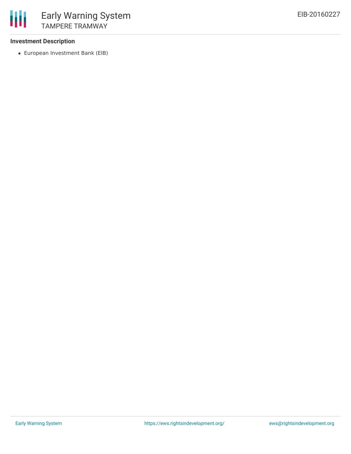### **Investment Description**

European Investment Bank (EIB)